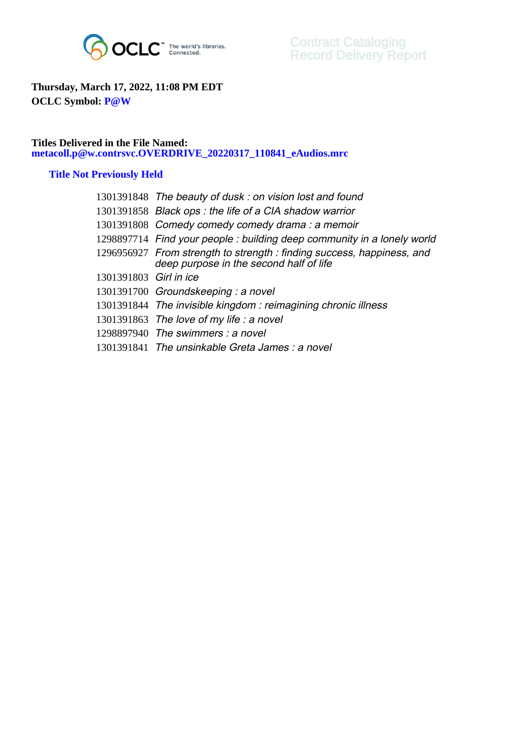

## **Thursday, March 17, 2022, 11:08 PM EDT OCLC Symbol: P@W**

## **Titles Delivered in the File Named: metacoll.p@w.contrsvc.OVERDRIVE\_20220317\_110841\_eAudios.mrc**

## **Title Not Previously Held**

|                        | 1301391848 The beauty of dusk: on vision lost and found                                                          |
|------------------------|------------------------------------------------------------------------------------------------------------------|
|                        | 1301391858 Black ops: the life of a CIA shadow warrior                                                           |
|                        | 1301391808 Comedy comedy comedy drama: a memoir                                                                  |
|                        | 1298897714 Find your people: building deep community in a lonely world                                           |
|                        | 1296956927 From strength to strength: finding success, happiness, and<br>deep purpose in the second half of life |
| 1301391803 Girl in ice |                                                                                                                  |
|                        | 1301391700 Groundskeeping: a novel                                                                               |
|                        | 1301391844 The invisible kingdom: reimagining chronic illness                                                    |
|                        | 1301391863 The love of my life : a novel                                                                         |
|                        | $1298897940$ The swimmers : a novel                                                                              |
|                        | 1301391841 The unsinkable Greta James: a novel                                                                   |
|                        |                                                                                                                  |